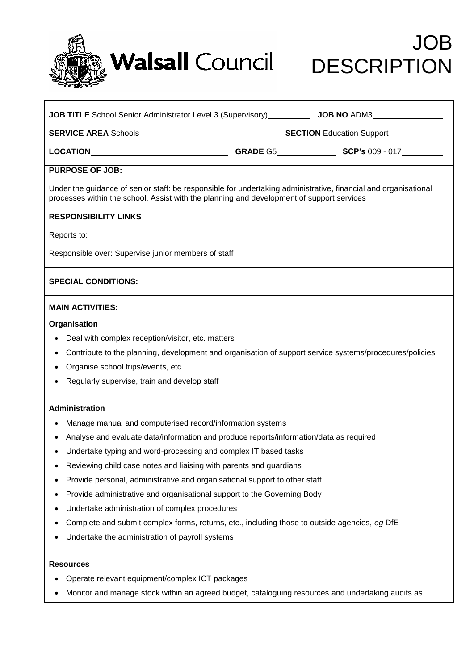

# JOB

| <b>PURPOSE OF JOB:</b>                                                                                                                                                                                       |  |  |  |
|--------------------------------------------------------------------------------------------------------------------------------------------------------------------------------------------------------------|--|--|--|
| Under the guidance of senior staff: be responsible for undertaking administrative, financial and organisational<br>processes within the school. Assist with the planning and development of support services |  |  |  |
| <b>RESPONSIBILITY LINKS</b>                                                                                                                                                                                  |  |  |  |
| Reports to:                                                                                                                                                                                                  |  |  |  |
| Responsible over: Supervise junior members of staff                                                                                                                                                          |  |  |  |
| <b>SPECIAL CONDITIONS:</b>                                                                                                                                                                                   |  |  |  |
| <b>MAIN ACTIVITIES:</b>                                                                                                                                                                                      |  |  |  |
| Organisation                                                                                                                                                                                                 |  |  |  |
| Deal with complex reception/visitor, etc. matters<br>$\bullet$                                                                                                                                               |  |  |  |
| Contribute to the planning, development and organisation of support service systems/procedures/policies                                                                                                      |  |  |  |
| Organise school trips/events, etc.                                                                                                                                                                           |  |  |  |
| Regularly supervise, train and develop staff                                                                                                                                                                 |  |  |  |
| Administration                                                                                                                                                                                               |  |  |  |
| Manage manual and computerised record/information systems<br>$\bullet$                                                                                                                                       |  |  |  |
| Analyse and evaluate data/information and produce reports/information/data as required<br>$\bullet$                                                                                                          |  |  |  |
| Undertake typing and word-processing and complex IT based tasks                                                                                                                                              |  |  |  |
| Reviewing child case notes and liaising with parents and guardians                                                                                                                                           |  |  |  |
| Provide personal, administrative and organisational support to other staff                                                                                                                                   |  |  |  |
| Provide administrative and organisational support to the Governing Body                                                                                                                                      |  |  |  |
| Undertake administration of complex procedures                                                                                                                                                               |  |  |  |
| Complete and submit complex forms, returns, etc., including those to outside agencies, eg DfE                                                                                                                |  |  |  |
| Undertake the administration of payroll systems                                                                                                                                                              |  |  |  |

### **Resources**

- Operate relevant equipment/complex ICT packages
- Monitor and manage stock within an agreed budget, cataloguing resources and undertaking audits as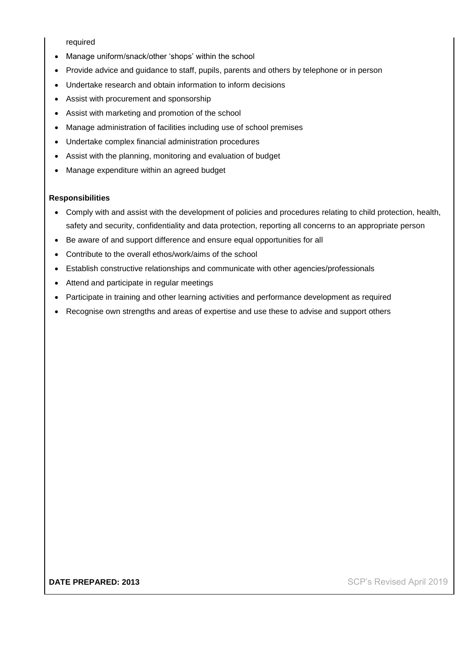required

- Manage uniform/snack/other 'shops' within the school
- Provide advice and guidance to staff, pupils, parents and others by telephone or in person
- Undertake research and obtain information to inform decisions
- Assist with procurement and sponsorship
- Assist with marketing and promotion of the school
- Manage administration of facilities including use of school premises
- Undertake complex financial administration procedures
- Assist with the planning, monitoring and evaluation of budget
- Manage expenditure within an agreed budget

#### **Responsibilities**

- Comply with and assist with the development of policies and procedures relating to child protection, health, safety and security, confidentiality and data protection, reporting all concerns to an appropriate person
- Be aware of and support difference and ensure equal opportunities for all
- Contribute to the overall ethos/work/aims of the school
- Establish constructive relationships and communicate with other agencies/professionals
- Attend and participate in regular meetings
- Participate in training and other learning activities and performance development as required
- Recognise own strengths and areas of expertise and use these to advise and support others

**DATE PREPARED: 2013 DATE PREPARED: 2013 SCP's Revised April 2019**